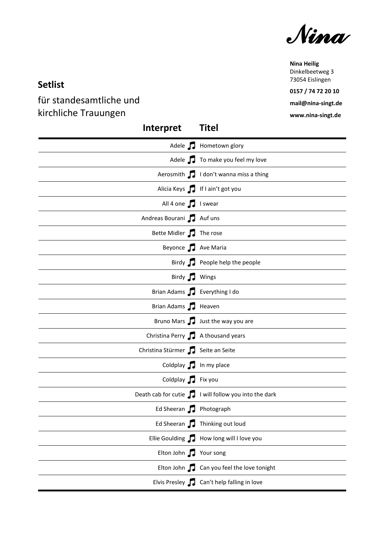*Nina* 

**Nina Heilig** Dinkelbeetweg 3 73054 Eislingen

**0157 / 74 72 20 10 mail@nina-singt.de**

**www.nina-singt.de**

## **Setlist**

für standesamtliche und kirchliche Trauungen

| Interpret                           | <b>Titel</b>                                               |
|-------------------------------------|------------------------------------------------------------|
|                                     | Adele J Hometown glory                                     |
|                                     | Adele J To make you feel my love                           |
|                                     | Aerosmith 1 I don't wanna miss a thing                     |
|                                     | Alicia Keys 1 If I ain't got you                           |
| All 4 one 1 I swear                 |                                                            |
| Andreas Bourani J Auf uns           |                                                            |
| Bette Midler 7 The rose             |                                                            |
| Beyonce J Ave Maria                 |                                                            |
|                                     | Birdy <b>J</b> People help the people                      |
| Birdy J Wings                       |                                                            |
| Brian Adams J Everything I do       |                                                            |
| Brian Adams J Heaven                |                                                            |
|                                     | Bruno Mars Just the way you are                            |
| Christina Perry 7 A thousand years  |                                                            |
| Christina Stürmer JJ Seite an Seite |                                                            |
| Coldplay 1 In my place              |                                                            |
| Coldplay Fix you                    |                                                            |
|                                     | Death cab for cutie $\int$ I will follow you into the dark |
| Ed Sheeran J Photograph             |                                                            |
|                                     | Ed Sheeran <b>J</b> Thinking out loud                      |
| Ellie Goulding J                    | How long will I love you                                   |
| Elton John J                        | Your song                                                  |
| Elton John $\Box$                   | Can you feel the love tonight                              |
|                                     | Elvis Presley <b>T</b> Can't help falling in love          |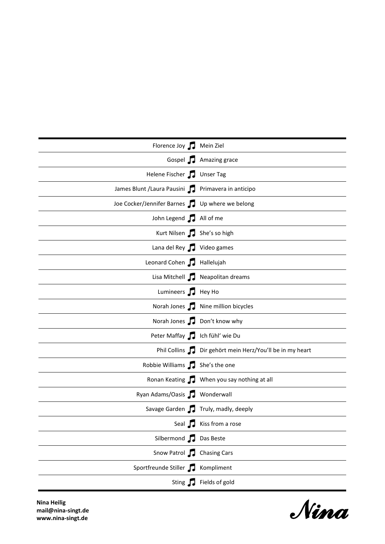| Florence Joy J Mein Ziel                            |                                                         |
|-----------------------------------------------------|---------------------------------------------------------|
|                                                     | Gospel 7 Amazing grace                                  |
| Helene Fischer J Unser Tag                          |                                                         |
| James Blunt / Laura Pausini   Primavera in anticipo |                                                         |
| Joe Cocker/Jennifer Barnes JJ Up where we belong    |                                                         |
| John Legend J All of me                             |                                                         |
| Kurt Nilsen She's so high                           |                                                         |
| Lana del Rey J Video games                          |                                                         |
| Leonard Cohen J Hallelujah                          |                                                         |
|                                                     | Lisa Mitchell J Neapolitan dreams                       |
| Lumineers <b>J</b> Hey Ho                           |                                                         |
|                                                     | Norah Jones J Nine million bicycles                     |
|                                                     | Norah Jones Jon't know why                              |
| Peter Maffay Julich fühl' wie Du                    |                                                         |
|                                                     | Phil Collins Dir gehört mein Herz/You'll be in my heart |
| Robbie Williams J She's the one                     |                                                         |
|                                                     | Ronan Keating 7 When you say nothing at all             |
| Ryan Adams/Oasis 7 Wonderwall                       |                                                         |
|                                                     | Savage Garden T Truly, madly, deeply                    |
|                                                     | Seal <b>No. 12</b> Kiss from a rose                     |
| Silbermond J Das Beste                              |                                                         |
| Snow Patrol <b>J</b> Chasing Cars                   |                                                         |
| Sportfreunde Stiller J Kompliment                   |                                                         |
|                                                     | Sting <b>T</b> Fields of gold                           |